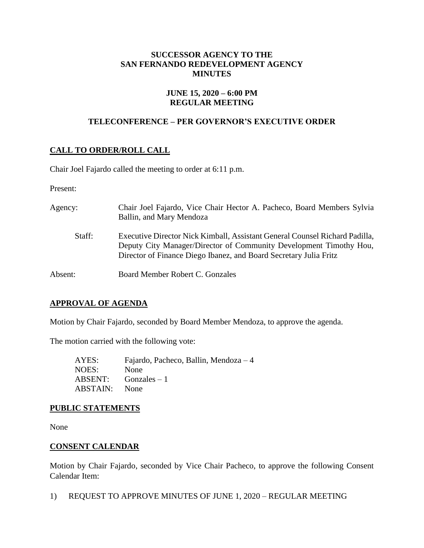### **SUCCESSOR AGENCY TO THE SAN FERNANDO REDEVELOPMENT AGENCY MINUTES**

#### **JUNE 15, 2020 – 6:00 PM REGULAR MEETING**

## **TELECONFERENCE – PER GOVERNOR'S EXECUTIVE ORDER**

# **CALL TO ORDER/ROLL CALL**

Chair Joel Fajardo called the meeting to order at 6:11 p.m.

Present:

| Agency: | Chair Joel Fajardo, Vice Chair Hector A. Pacheco, Board Members Sylvia<br>Ballin, and Mary Mendoza                                                                                                                     |
|---------|------------------------------------------------------------------------------------------------------------------------------------------------------------------------------------------------------------------------|
| Staff:  | Executive Director Nick Kimball, Assistant General Counsel Richard Padilla,<br>Deputy City Manager/Director of Community Development Timothy Hou,<br>Director of Finance Diego Ibanez, and Board Secretary Julia Fritz |
| Absent: | Board Member Robert C. Gonzales                                                                                                                                                                                        |

## **APPROVAL OF AGENDA**

Motion by Chair Fajardo, seconded by Board Member Mendoza, to approve the agenda.

The motion carried with the following vote:

AYES: Fajardo, Pacheco, Ballin, Mendoza – 4 NOES: None ABSENT: Gonzales – 1 ABSTAIN: None

## **PUBLIC STATEMENTS**

None

## **CONSENT CALENDAR**

Motion by Chair Fajardo, seconded by Vice Chair Pacheco, to approve the following Consent Calendar Item:

1) REQUEST TO APPROVE MINUTES OF JUNE 1, 2020 – REGULAR MEETING